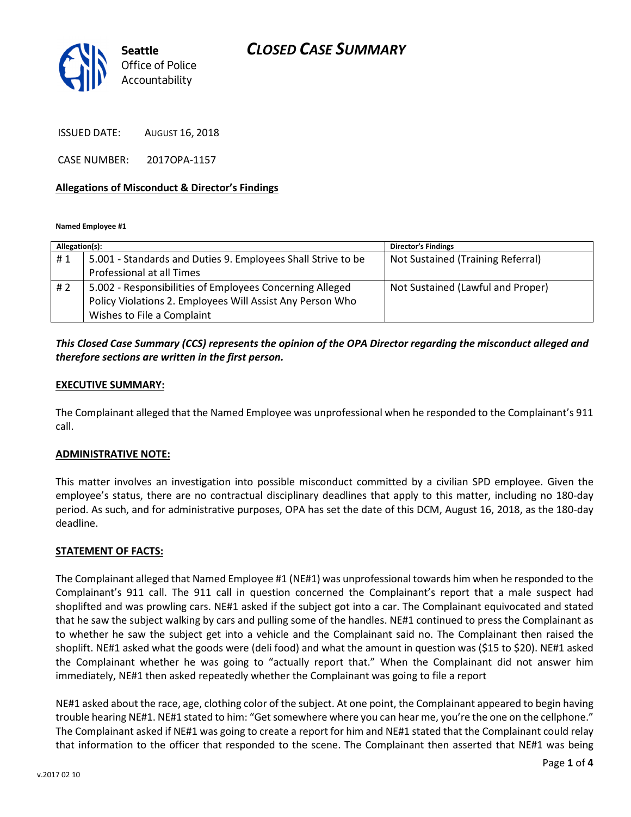# CLOSED CASE SUMMARY



ISSUED DATE: AUGUST 16, 2018

CASE NUMBER: 2017OPA-1157

#### Allegations of Misconduct & Director's Findings

Named Employee #1

| Allegation(s): |                                                              | <b>Director's Findings</b>        |
|----------------|--------------------------------------------------------------|-----------------------------------|
| #1             | 5.001 - Standards and Duties 9. Employees Shall Strive to be | Not Sustained (Training Referral) |
|                | Professional at all Times                                    |                                   |
| # 2            | 5.002 - Responsibilities of Employees Concerning Alleged     | Not Sustained (Lawful and Proper) |
|                | Policy Violations 2. Employees Will Assist Any Person Who    |                                   |
|                | Wishes to File a Complaint                                   |                                   |

### This Closed Case Summary (CCS) represents the opinion of the OPA Director regarding the misconduct alleged and therefore sections are written in the first person.

#### EXECUTIVE SUMMARY:

The Complainant alleged that the Named Employee was unprofessional when he responded to the Complainant's 911 call.

#### ADMINISTRATIVE NOTE:

This matter involves an investigation into possible misconduct committed by a civilian SPD employee. Given the employee's status, there are no contractual disciplinary deadlines that apply to this matter, including no 180-day period. As such, and for administrative purposes, OPA has set the date of this DCM, August 16, 2018, as the 180-day deadline.

#### STATEMENT OF FACTS:

The Complainant alleged that Named Employee #1 (NE#1) was unprofessional towards him when he responded to the Complainant's 911 call. The 911 call in question concerned the Complainant's report that a male suspect had shoplifted and was prowling cars. NE#1 asked if the subject got into a car. The Complainant equivocated and stated that he saw the subject walking by cars and pulling some of the handles. NE#1 continued to press the Complainant as to whether he saw the subject get into a vehicle and the Complainant said no. The Complainant then raised the shoplift. NE#1 asked what the goods were (deli food) and what the amount in question was (\$15 to \$20). NE#1 asked the Complainant whether he was going to "actually report that." When the Complainant did not answer him immediately, NE#1 then asked repeatedly whether the Complainant was going to file a report

NE#1 asked about the race, age, clothing color of the subject. At one point, the Complainant appeared to begin having trouble hearing NE#1. NE#1 stated to him: "Get somewhere where you can hear me, you're the one on the cellphone." The Complainant asked if NE#1 was going to create a report for him and NE#1 stated that the Complainant could relay that information to the officer that responded to the scene. The Complainant then asserted that NE#1 was being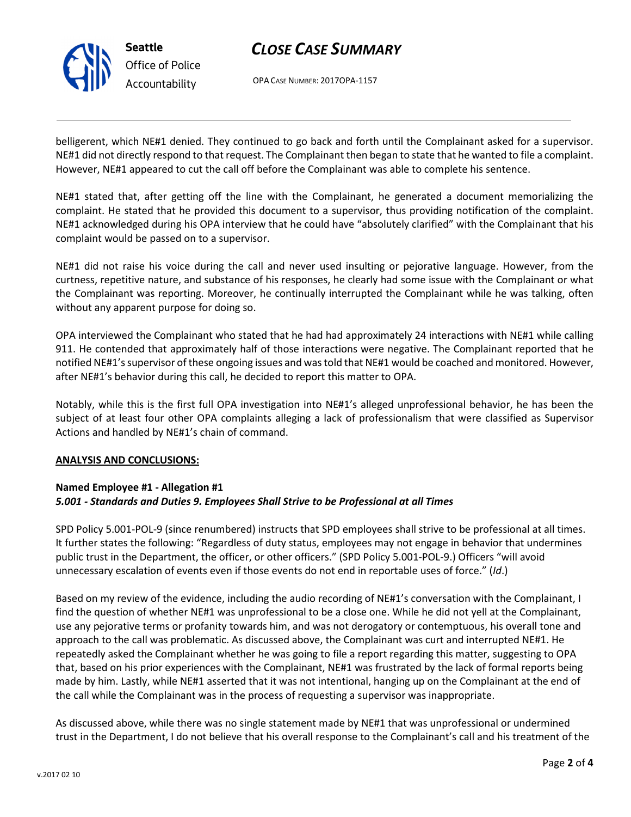

# CLOSE CASE SUMMARY

OPA CASE NUMBER: 2017OPA-1157

belligerent, which NE#1 denied. They continued to go back and forth until the Complainant asked for a supervisor. NE#1 did not directly respond to that request. The Complainant then began to state that he wanted to file a complaint. However, NE#1 appeared to cut the call off before the Complainant was able to complete his sentence.

NE#1 stated that, after getting off the line with the Complainant, he generated a document memorializing the complaint. He stated that he provided this document to a supervisor, thus providing notification of the complaint. NE#1 acknowledged during his OPA interview that he could have "absolutely clarified" with the Complainant that his complaint would be passed on to a supervisor.

NE#1 did not raise his voice during the call and never used insulting or pejorative language. However, from the curtness, repetitive nature, and substance of his responses, he clearly had some issue with the Complainant or what the Complainant was reporting. Moreover, he continually interrupted the Complainant while he was talking, often without any apparent purpose for doing so.

OPA interviewed the Complainant who stated that he had had approximately 24 interactions with NE#1 while calling 911. He contended that approximately half of those interactions were negative. The Complainant reported that he notified NE#1's supervisor of these ongoing issues and was told that NE#1 would be coached and monitored. However, after NE#1's behavior during this call, he decided to report this matter to OPA.

Notably, while this is the first full OPA investigation into NE#1's alleged unprofessional behavior, he has been the subject of at least four other OPA complaints alleging a lack of professionalism that were classified as Supervisor Actions and handled by NE#1's chain of command.

### ANALYSIS AND CONCLUSIONS:

### Named Employee #1 - Allegation #1

### 5.001 - Standards and Duties 9. Employees Shall Strive to be Professional at all Times

SPD Policy 5.001-POL-9 (since renumbered) instructs that SPD employees shall strive to be professional at all times. It further states the following: "Regardless of duty status, employees may not engage in behavior that undermines public trust in the Department, the officer, or other officers." (SPD Policy 5.001-POL-9.) Officers "will avoid unnecessary escalation of events even if those events do not end in reportable uses of force." (Id.)

Based on my review of the evidence, including the audio recording of NE#1's conversation with the Complainant, I find the question of whether NE#1 was unprofessional to be a close one. While he did not yell at the Complainant, use any pejorative terms or profanity towards him, and was not derogatory or contemptuous, his overall tone and approach to the call was problematic. As discussed above, the Complainant was curt and interrupted NE#1. He repeatedly asked the Complainant whether he was going to file a report regarding this matter, suggesting to OPA that, based on his prior experiences with the Complainant, NE#1 was frustrated by the lack of formal reports being made by him. Lastly, while NE#1 asserted that it was not intentional, hanging up on the Complainant at the end of the call while the Complainant was in the process of requesting a supervisor was inappropriate.

As discussed above, while there was no single statement made by NE#1 that was unprofessional or undermined trust in the Department, I do not believe that his overall response to the Complainant's call and his treatment of the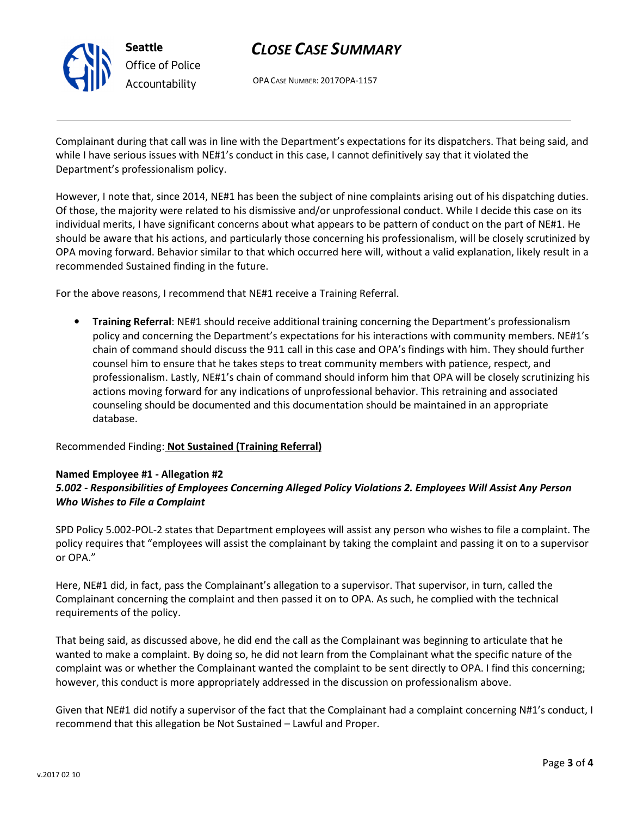

# CLOSE CASE SUMMARY

OPA CASE NUMBER: 2017OPA-1157

Complainant during that call was in line with the Department's expectations for its dispatchers. That being said, and while I have serious issues with NE#1's conduct in this case, I cannot definitively say that it violated the Department's professionalism policy.

However, I note that, since 2014, NE#1 has been the subject of nine complaints arising out of his dispatching duties. Of those, the majority were related to his dismissive and/or unprofessional conduct. While I decide this case on its individual merits, I have significant concerns about what appears to be pattern of conduct on the part of NE#1. He should be aware that his actions, and particularly those concerning his professionalism, will be closely scrutinized by OPA moving forward. Behavior similar to that which occurred here will, without a valid explanation, likely result in a recommended Sustained finding in the future.

For the above reasons, I recommend that NE#1 receive a Training Referral.

• Training Referral: NE#1 should receive additional training concerning the Department's professionalism policy and concerning the Department's expectations for his interactions with community members. NE#1's chain of command should discuss the 911 call in this case and OPA's findings with him. They should further counsel him to ensure that he takes steps to treat community members with patience, respect, and professionalism. Lastly, NE#1's chain of command should inform him that OPA will be closely scrutinizing his actions moving forward for any indications of unprofessional behavior. This retraining and associated counseling should be documented and this documentation should be maintained in an appropriate database.

### Recommended Finding: Not Sustained (Training Referral)

#### Named Employee #1 - Allegation #2

## 5.002 - Responsibilities of Employees Concerning Alleged Policy Violations 2. Employees Will Assist Any Person Who Wishes to File a Complaint

SPD Policy 5.002-POL-2 states that Department employees will assist any person who wishes to file a complaint. The policy requires that "employees will assist the complainant by taking the complaint and passing it on to a supervisor or OPA."

Here, NE#1 did, in fact, pass the Complainant's allegation to a supervisor. That supervisor, in turn, called the Complainant concerning the complaint and then passed it on to OPA. As such, he complied with the technical requirements of the policy.

That being said, as discussed above, he did end the call as the Complainant was beginning to articulate that he wanted to make a complaint. By doing so, he did not learn from the Complainant what the specific nature of the complaint was or whether the Complainant wanted the complaint to be sent directly to OPA. I find this concerning; however, this conduct is more appropriately addressed in the discussion on professionalism above.

Given that NE#1 did notify a supervisor of the fact that the Complainant had a complaint concerning N#1's conduct, I recommend that this allegation be Not Sustained – Lawful and Proper.